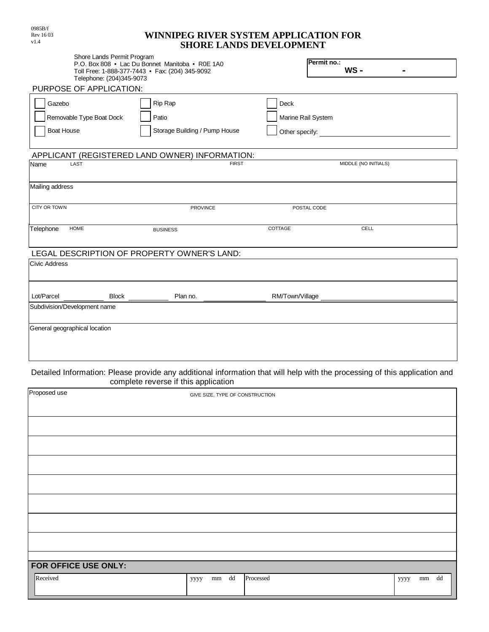| WINNIPEG RIVER SYSTEM APPLICATION FOR |  |
|---------------------------------------|--|
| <b>SHORE LANDS DEVELOPMENT</b>        |  |

| Shore Lands Permit Program                      |                                                |                                                                                                                                                                                                                                |  |  |  |
|-------------------------------------------------|------------------------------------------------|--------------------------------------------------------------------------------------------------------------------------------------------------------------------------------------------------------------------------------|--|--|--|
| P.O. Box 808 • Lac Du Bonnet Manitoba • R0E 1A0 |                                                | Permit no.:                                                                                                                                                                                                                    |  |  |  |
| Toll Free: 1-888-377-7443 • Fax: (204) 345-9092 |                                                | $WS -$                                                                                                                                                                                                                         |  |  |  |
| Telephone: (204)345-9073                        |                                                |                                                                                                                                                                                                                                |  |  |  |
| PURPOSE OF APPLICATION:                         |                                                |                                                                                                                                                                                                                                |  |  |  |
| Gazebo                                          | Rip Rap                                        | Deck                                                                                                                                                                                                                           |  |  |  |
|                                                 |                                                |                                                                                                                                                                                                                                |  |  |  |
| Removable Type Boat Dock                        | Patio                                          | Marine Rail System                                                                                                                                                                                                             |  |  |  |
| <b>Boat House</b>                               | Storage Building / Pump House                  |                                                                                                                                                                                                                                |  |  |  |
|                                                 |                                                |                                                                                                                                                                                                                                |  |  |  |
|                                                 | APPLICANT (REGISTERED LAND OWNER) INFORMATION: |                                                                                                                                                                                                                                |  |  |  |
| Name<br>LAST                                    | <b>FIRST</b>                                   | MIDDLE (NO INITIALS)                                                                                                                                                                                                           |  |  |  |
|                                                 |                                                |                                                                                                                                                                                                                                |  |  |  |
| Mailing address                                 |                                                |                                                                                                                                                                                                                                |  |  |  |
|                                                 |                                                |                                                                                                                                                                                                                                |  |  |  |
| CITY OR TOWN                                    | <b>PROVINCE</b>                                | POSTAL CODE                                                                                                                                                                                                                    |  |  |  |
|                                                 |                                                |                                                                                                                                                                                                                                |  |  |  |
| Telephone<br>HOME                               | <b>BUSINESS</b>                                | COTTAGE<br>CELL                                                                                                                                                                                                                |  |  |  |
|                                                 |                                                |                                                                                                                                                                                                                                |  |  |  |
| LEGAL DESCRIPTION OF PROPERTY OWNER'S LAND:     |                                                |                                                                                                                                                                                                                                |  |  |  |
| <b>Civic Address</b>                            |                                                |                                                                                                                                                                                                                                |  |  |  |
|                                                 |                                                |                                                                                                                                                                                                                                |  |  |  |
|                                                 |                                                |                                                                                                                                                                                                                                |  |  |  |
| Lot/Parcel                                      | Plan no.                                       | RM/Town/Village and the contract of the contract of the contract of the contract of the contract of the contract of the contract of the contract of the contract of the contract of the contract of the contract of the contra |  |  |  |
| Subdivision/Development name                    |                                                |                                                                                                                                                                                                                                |  |  |  |
|                                                 |                                                |                                                                                                                                                                                                                                |  |  |  |
| General geographical location                   |                                                |                                                                                                                                                                                                                                |  |  |  |
|                                                 |                                                |                                                                                                                                                                                                                                |  |  |  |
|                                                 |                                                |                                                                                                                                                                                                                                |  |  |  |
|                                                 |                                                |                                                                                                                                                                                                                                |  |  |  |
|                                                 |                                                |                                                                                                                                                                                                                                |  |  |  |

## Detailed Information: Please provide any additional information that will help with the processing of this application and complete reverse if this application

| Proposed use         | . .<br>GIVE SIZE, TYPE OF CONSTRUCTION |           |                             |  |  |  |
|----------------------|----------------------------------------|-----------|-----------------------------|--|--|--|
|                      |                                        |           |                             |  |  |  |
|                      |                                        |           |                             |  |  |  |
|                      |                                        |           |                             |  |  |  |
|                      |                                        |           |                             |  |  |  |
|                      |                                        |           |                             |  |  |  |
|                      |                                        |           |                             |  |  |  |
|                      |                                        |           |                             |  |  |  |
|                      |                                        |           |                             |  |  |  |
|                      |                                        |           |                             |  |  |  |
| FOR OFFICE USE ONLY: |                                        |           |                             |  |  |  |
| Received             | mm dd<br>уууу                          | Processed | $\,mm$ $\,$ dd $\,$<br>уууу |  |  |  |

0985B/f Rev 16 03 v1.4